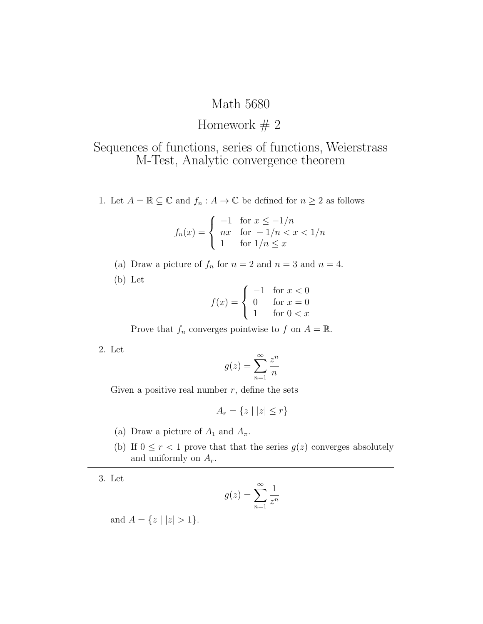## Math 5680

## Homework  $# 2$

## Sequences of functions, series of functions, Weierstrass M-Test, Analytic convergence theorem

1. Let  $A = \mathbb{R} \subseteq \mathbb{C}$  and  $f_n : A \to \mathbb{C}$  be defined for  $n \geq 2$  as follows

$$
f_n(x) = \begin{cases} -1 & \text{for } x \le -1/n \\ nx & \text{for } -1/n < x < 1/n \\ 1 & \text{for } 1/n \le x \end{cases}
$$

- (a) Draw a picture of  $f_n$  for  $n = 2$  and  $n = 3$  and  $n = 4$ .
- (b) Let

$$
f(x) = \begin{cases} -1 & \text{for } x < 0\\ 0 & \text{for } x = 0\\ 1 & \text{for } 0 < x \end{cases}
$$

Prove that  $f_n$  converges pointwise to  $f$  on  $A = \mathbb{R}$ .

2. Let

$$
g(z) = \sum_{n=1}^{\infty} \frac{z^n}{n}
$$

Given a positive real number  $r$ , define the sets

$$
A_r = \{ z \mid |z| \le r \}
$$

- (a) Draw a picture of  $A_1$  and  $A_\pi$ .
- (b) If  $0 \le r < 1$  prove that that the series  $g(z)$  converges absolutely and uniformly on  $A_r$ .

3. Let

$$
g(z) = \sum_{n=1}^{\infty} \frac{1}{z^n}
$$

and  $A = \{z \mid |z| > 1\}.$